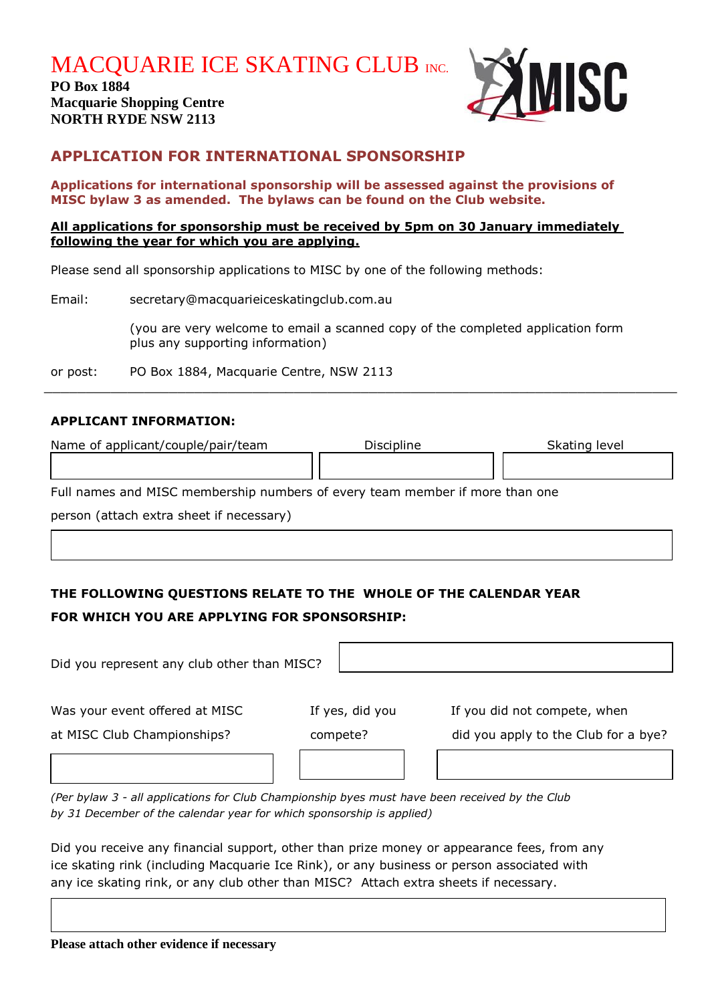**MACQUARIE ICE SKATING CLUB INC.** 

**PO Box 1884 Macquarie Shopping Centre NORTH RYDE NSW 2113**



## **APPLICATION FOR INTERNATIONAL SPONSORSHIP**

**Applications for international sponsorship will be assessed against the provisions of MISC bylaw 3 as amended. The bylaws can be found on the Club website.**

#### **All applications for sponsorship must be received by 5pm on 30 January immediately following the year for which you are applying.**

Please send all sponsorship applications to MISC by one of the following methods:

| Email:   | secretary@macquarieiceskatingclub.com.au                                                                            |  |  |
|----------|---------------------------------------------------------------------------------------------------------------------|--|--|
|          | (you are very welcome to email a scanned copy of the completed application form<br>plus any supporting information) |  |  |
| or post: | PO Box 1884, Macquarie Centre, NSW 2113                                                                             |  |  |

# **APPLICANT INFORMATION:**

| Name of applicant/couple/pair/team                                           | Discipline | Skating level |  |  |  |
|------------------------------------------------------------------------------|------------|---------------|--|--|--|
|                                                                              |            |               |  |  |  |
| Full names and MISC membership numbers of every team member if more than one |            |               |  |  |  |
| person (attach extra sheet if necessary)                                     |            |               |  |  |  |
|                                                                              |            |               |  |  |  |

 $\_$  , and the contribution of the contribution of the contribution of the contribution of  $\mathcal{L}_\mathcal{A}$ 

# **THE FOLLOWING QUESTIONS RELATE TO THE WHOLE OF THE CALENDAR YEAR FOR WHICH YOU ARE APPLYING FOR SPONSORSHIP:**

| Did you represent any club other than MISC?                   |                             |                                                                      |
|---------------------------------------------------------------|-----------------------------|----------------------------------------------------------------------|
| Was your event offered at MISC<br>at MISC Club Championships? | If yes, did you<br>compete? | If you did not compete, when<br>did you apply to the Club for a bye? |
|                                                               |                             |                                                                      |

*(Per bylaw 3 - all applications for Club Championship byes must have been received by the Club by 31 December of the calendar year for which sponsorship is applied)*

Did you receive any financial support, other than prize money or appearance fees, from any ice skating rink (including Macquarie Ice Rink), or any business or person associated with any ice skating rink, or any club other than MISC? Attach extra sheets if necessary.